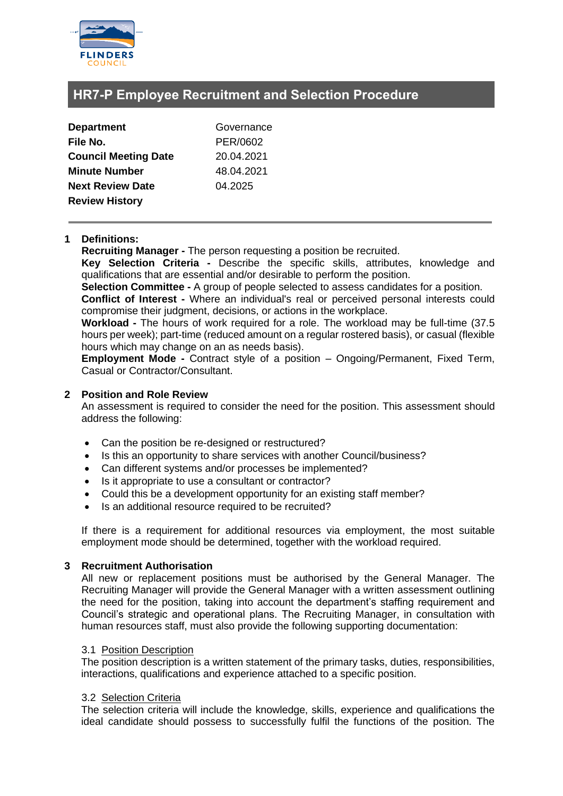

# **HR7-P Employee Recruitment and Selection Procedure**

| <b>Department</b>           | Governance |
|-----------------------------|------------|
| File No.                    | PER/0602   |
| <b>Council Meeting Date</b> | 20.04.2021 |
| <b>Minute Number</b>        | 48.04.2021 |
| <b>Next Review Date</b>     | 04.2025    |
| <b>Review History</b>       |            |

# **1 Definitions:**

**Recruiting Manager -** The person requesting a position be recruited.

**Key Selection Criteria -** Describe the specific skills, attributes, knowledge and qualifications that are essential and/or desirable to perform the position.

**Selection Committee -** A group of people selected to assess candidates for a position.

**Conflict of Interest -** Where an individual's real or perceived personal interests could compromise their judgment, decisions, or actions in the workplace.

**Workload -** The hours of work required for a role. The workload may be full-time (37.5 hours per week); part-time (reduced amount on a regular rostered basis), or casual (flexible hours which may change on an as needs basis).

**Employment Mode -** Contract style of a position – Ongoing/Permanent, Fixed Term, Casual or Contractor/Consultant.

# **2 Position and Role Review**

An assessment is required to consider the need for the position. This assessment should address the following:

- Can the position be re-designed or restructured?
- Is this an opportunity to share services with another Council/business?
- Can different systems and/or processes be implemented?
- Is it appropriate to use a consultant or contractor?
- Could this be a development opportunity for an existing staff member?
- Is an additional resource required to be recruited?

If there is a requirement for additional resources via employment, the most suitable employment mode should be determined, together with the workload required.

# **3 Recruitment Authorisation**

All new or replacement positions must be authorised by the General Manager. The Recruiting Manager will provide the General Manager with a written assessment outlining the need for the position, taking into account the department's staffing requirement and Council's strategic and operational plans. The Recruiting Manager, in consultation with human resources staff, must also provide the following supporting documentation:

# 3.1 Position Description

The position description is a written statement of the primary tasks, duties, responsibilities, interactions, qualifications and experience attached to a specific position.

# 3.2 Selection Criteria

The selection criteria will include the knowledge, skills, experience and qualifications the ideal candidate should possess to successfully fulfil the functions of the position. The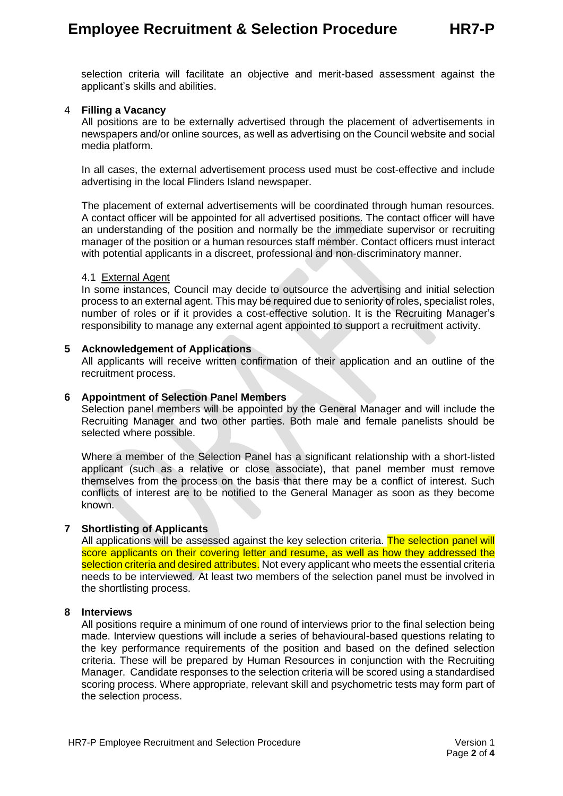selection criteria will facilitate an objective and merit-based assessment against the applicant's skills and abilities.

# 4 **Filling a Vacancy**

All positions are to be externally advertised through the placement of advertisements in newspapers and/or online sources, as well as advertising on the Council website and social media platform.

In all cases, the external advertisement process used must be cost-effective and include advertising in the local Flinders Island newspaper.

The placement of external advertisements will be coordinated through human resources. A contact officer will be appointed for all advertised positions. The contact officer will have an understanding of the position and normally be the immediate supervisor or recruiting manager of the position or a human resources staff member. Contact officers must interact with potential applicants in a discreet, professional and non-discriminatory manner.

# 4.1 External Agent

In some instances, Council may decide to outsource the advertising and initial selection process to an external agent. This may be required due to seniority of roles, specialist roles, number of roles or if it provides a cost-effective solution. It is the Recruiting Manager's responsibility to manage any external agent appointed to support a recruitment activity.

# **5 Acknowledgement of Applications**

All applicants will receive written confirmation of their application and an outline of the recruitment process.

#### **6 Appointment of Selection Panel Members**

Selection panel members will be appointed by the General Manager and will include the Recruiting Manager and two other parties. Both male and female panelists should be selected where possible.

Where a member of the Selection Panel has a significant relationship with a short-listed applicant (such as a relative or close associate), that panel member must remove themselves from the process on the basis that there may be a conflict of interest. Such conflicts of interest are to be notified to the General Manager as soon as they become known.

# **7 Shortlisting of Applicants**

All applications will be assessed against the key selection criteria. The selection panel will score applicants on their covering letter and resume, as well as how they addressed the selection criteria and desired attributes. Not every applicant who meets the essential criteria needs to be interviewed. At least two members of the selection panel must be involved in the shortlisting process.

# **8 Interviews**

All positions require a minimum of one round of interviews prior to the final selection being made. Interview questions will include a series of behavioural-based questions relating to the key performance requirements of the position and based on the defined selection criteria. These will be prepared by Human Resources in conjunction with the Recruiting Manager. Candidate responses to the selection criteria will be scored using a standardised scoring process. Where appropriate, relevant skill and psychometric tests may form part of the selection process.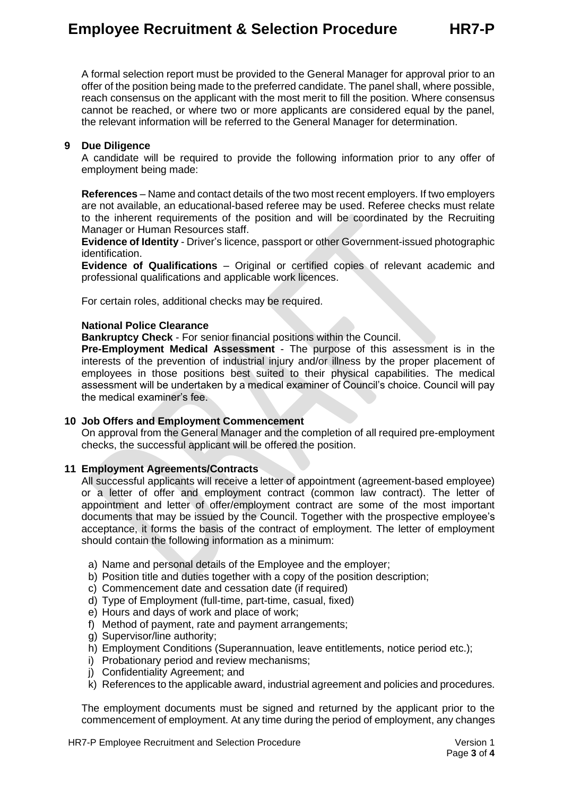# **Employee Recruitment & Selection Procedure HR7-P**

A formal selection report must be provided to the General Manager for approval prior to an offer of the position being made to the preferred candidate. The panel shall, where possible, reach consensus on the applicant with the most merit to fill the position. Where consensus cannot be reached, or where two or more applicants are considered equal by the panel, the relevant information will be referred to the General Manager for determination.

# **9 Due Diligence**

A candidate will be required to provide the following information prior to any offer of employment being made:

**References** – Name and contact details of the two most recent employers. If two employers are not available, an educational-based referee may be used. Referee checks must relate to the inherent requirements of the position and will be coordinated by the Recruiting Manager or Human Resources staff.

**Evidence of Identity** - Driver's licence, passport or other Government-issued photographic identification.

**Evidence of Qualifications** – Original or certified copies of relevant academic and professional qualifications and applicable work licences.

For certain roles, additional checks may be required.

#### **National Police Clearance**

**Bankruptcy Check** - For senior financial positions within the Council.

**Pre-Employment Medical Assessment** - The purpose of this assessment is in the interests of the prevention of industrial injury and/or illness by the proper placement of employees in those positions best suited to their physical capabilities. The medical assessment will be undertaken by a medical examiner of Council's choice. Council will pay the medical examiner's fee.

# **10 Job Offers and Employment Commencement**

On approval from the General Manager and the completion of all required pre-employment checks, the successful applicant will be offered the position.

# **11 Employment Agreements/Contracts**

All successful applicants will receive a letter of appointment (agreement-based employee) or a letter of offer and employment contract (common law contract). The letter of appointment and letter of offer/employment contract are some of the most important documents that may be issued by the Council. Together with the prospective employee's acceptance, it forms the basis of the contract of employment. The letter of employment should contain the following information as a minimum:

- a) Name and personal details of the Employee and the employer;
- b) Position title and duties together with a copy of the position description:
- c) Commencement date and cessation date (if required)
- d) Type of Employment (full-time, part-time, casual, fixed)
- e) Hours and days of work and place of work;
- f) Method of payment, rate and payment arrangements;
- g) Supervisor/line authority;
- h) Employment Conditions (Superannuation, leave entitlements, notice period etc.);
- i) Probationary period and review mechanisms;
- j) Confidentiality Agreement; and
- k) References to the applicable award, industrial agreement and policies and procedures.

The employment documents must be signed and returned by the applicant prior to the commencement of employment. At any time during the period of employment, any changes